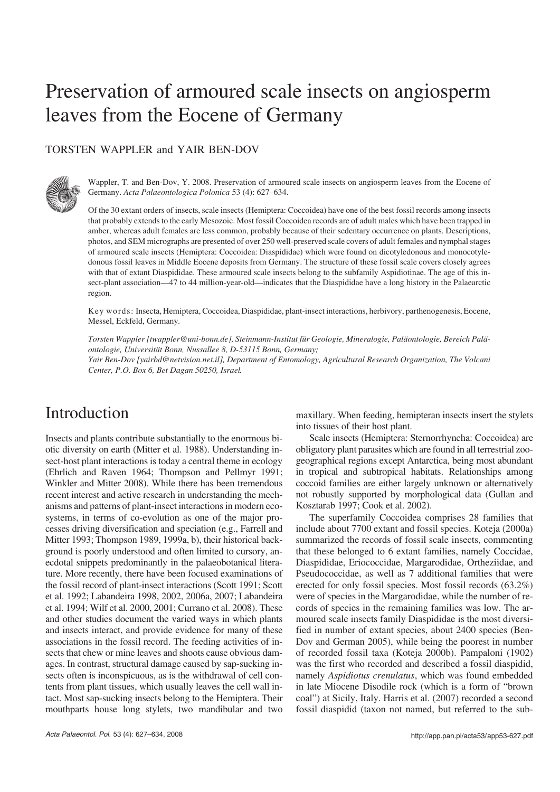# Preservation of armoured scale insects on angiosperm leaves from the Eocene of Germany

#### TORSTEN WAPPLER and YAIR BEN−DOV



Wappler, T. and Ben−Dov, Y. 2008. Preservation of armoured scale insects on angiosperm leaves from the Eocene of Germany. *Acta Palaeontologica Polonica* 53 (4): 627–634.

Of the 30 extant orders of insects, scale insects (Hemiptera: Coccoidea) have one of the best fossil records among insects that probably extends to the early Mesozoic. Most fossil Coccoidea records are of adult males which have been trapped in amber, whereas adult females are less common, probably because of their sedentary occurrence on plants. Descriptions, photos, and SEM micrographs are presented of over 250 well−preserved scale covers of adult females and nymphal stages of armoured scale insects (Hemiptera: Coccoidea: Diaspididae) which were found on dicotyledonous and monocotyle− donous fossil leaves in Middle Eocene deposits from Germany. The structure of these fossil scale covers closely agrees with that of extant Diaspididae. These armoured scale insects belong to the subfamily Aspidiotinae. The age of this in− sect-plant association—47 to 44 million-year-old—indicates that the Diaspididae have a long history in the Palaearctic region.

Key words: Insecta, Hemiptera, Coccoidea, Diaspididae, plant−insect interactions, herbivory, parthenogenesis, Eocene, Messel, Eckfeld, Germany.

*Torsten Wappler [twappler@uni−bonn.de], Steinmann−Institut für Geologie, Mineralogie, Paläontologie, Bereich Palä− ontologie, Universität Bonn, Nussallee 8, D−53115 Bonn, Germany; Yair Ben−Dov [yairbd@netvision.net.il], Department of Entomology, Agricultural Research Organization, The Volcani Center, P.O. Box 6, Bet Dagan 50250, Israel.*

# Introduction

Insects and plants contribute substantially to the enormous bi− otic diversity on earth (Mitter et al. 1988). Understanding in− sect−host plant interactions is today a central theme in ecology (Ehrlich and Raven 1964; Thompson and Pellmyr 1991; Winkler and Mitter 2008). While there has been tremendous recent interest and active research in understanding the mech− anisms and patterns of plant−insect interactions in modern eco− systems, in terms of co-evolution as one of the major processes driving diversification and speciation (e.g., Farrell and Mitter 1993; Thompson 1989, 1999a, b), their historical back− ground is poorly understood and often limited to cursory, an− ecdotal snippets predominantly in the palaeobotanical litera− ture. More recently, there have been focused examinations of the fossil record of plant−insect interactions (Scott 1991; Scott et al. 1992; Labandeira 1998, 2002, 2006a, 2007; Labandeira et al. 1994; Wilf et al. 2000, 2001; Currano et al. 2008). These and other studies document the varied ways in which plants and insects interact, and provide evidence for many of these associations in the fossil record. The feeding activities of in− sects that chew or mine leaves and shoots cause obvious dam− ages. In contrast, structural damage caused by sap−sucking in− sects often is inconspicuous, as is the withdrawal of cell con− tents from plant tissues, which usually leaves the cell wall in− tact. Most sap−sucking insects belong to the Hemiptera. Their mouthparts house long stylets, two mandibular and two maxillary. When feeding, hemipteran insects insert the stylets into tissues of their host plant.

Scale insects (Hemiptera: Sternorrhyncha: Coccoidea) are obligatory plant parasites which are found in all terrestrial zoo− geographical regions except Antarctica, being most abundant in tropical and subtropical habitats. Relationships among coccoid families are either largely unknown or alternatively not robustly supported by morphological data (Gullan and Kosztarab 1997; Cook et al. 2002).

The superfamily Coccoidea comprises 28 families that include about 7700 extant and fossil species. Koteja (2000a) summarized the records of fossil scale insects, commenting that these belonged to 6 extant families, namely Coccidae, Diaspididae, Eriococcidae, Margarodidae, Ortheziidae, and Pseudococcidae, as well as 7 additional families that were erected for only fossil species. Most fossil records (63.2%) were of species in the Margarodidae, while the number of re− cords of species in the remaining families was low. The ar− moured scale insects family Diaspididae is the most diversi− fied in number of extant species, about 2400 species (Ben− Dov and German 2005), while being the poorest in number of recorded fossil taxa (Koteja 2000b). Pampaloni (1902) was the first who recorded and described a fossil diaspidid, namely *Aspidiotus crenulatus*, which was found embedded in late Miocene Disodile rock (which is a form of "brown coal") at Sicily, Italy. Harris et al. (2007) recorded a second fossil diaspidid (taxon not named, but referred to the sub−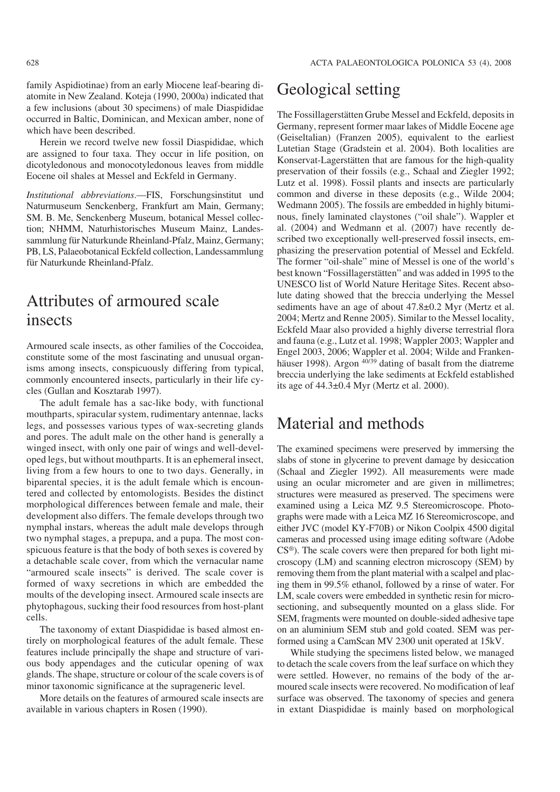family Aspidiotinae) from an early Miocene leaf−bearing di− atomite in New Zealand. Koteja (1990, 2000a) indicated that a few inclusions (about 30 specimens) of male Diaspididae occurred in Baltic, Dominican, and Mexican amber, none of which have been described.

Herein we record twelve new fossil Diaspididae, which are assigned to four taxa. They occur in life position, on dicotyledonous and monocotyledonous leaves from middle Eocene oil shales at Messel and Eckfeld in Germany.

*Institutional abbreviations*.—FIS, Forschungsinstitut und Naturmuseum Senckenberg, Frankfurt am Main, Germany; SM. B. Me, Senckenberg Museum, botanical Messel collec− tion; NHMM, Naturhistorisches Museum Mainz, Landes− sammlung für Naturkunde Rheinland−Pfalz, Mainz, Germany; PB, LS, Palaeobotanical Eckfeld collection, Landessammlung für Naturkunde Rheinland−Pfalz.

### Attributes of armoured scale insects

Armoured scale insects, as other families of the Coccoidea, constitute some of the most fascinating and unusual organ− isms among insects, conspicuously differing from typical, commonly encountered insects, particularly in their life cy− cles (Gullan and Kosztarab 1997).

The adult female has a sac−like body, with functional mouthparts, spiracular system, rudimentary antennae, lacks legs, and possesses various types of wax−secreting glands and pores. The adult male on the other hand is generally a winged insect, with only one pair of wings and well−devel− oped legs, but without mouthparts. It is an ephemeral insect, living from a few hours to one to two days. Generally, in biparental species, it is the adult female which is encoun− tered and collected by entomologists. Besides the distinct morphological differences between female and male, their development also differs. The female develops through two nymphal instars, whereas the adult male develops through two nymphal stages, a prepupa, and a pupa. The most con− spicuous feature is that the body of both sexes is covered by a detachable scale cover, from which the vernacular name "armoured scale insects" is derived. The scale cover is formed of waxy secretions in which are embedded the moults of the developing insect. Armoured scale insects are phytophagous, sucking their food resources from host−plant cells.

The taxonomy of extant Diaspididae is based almost en− tirely on morphological features of the adult female. These features include principally the shape and structure of vari− ous body appendages and the cuticular opening of wax glands. The shape, structure or colour of the scale covers is of minor taxonomic significance at the suprageneric level.

More details on the features of armoured scale insects are available in various chapters in Rosen (1990).

## Geological setting

The Fossillagerstätten Grube Messel and Eckfeld, deposits in Germany, represent former maar lakes of Middle Eocene age (Geiseltalian) (Franzen 2005), equivalent to the earliest Lutetian Stage (Gradstein et al. 2004). Both localities are Konservat−Lagerstätten that are famous for the high−quality preservation of their fossils (e.g., Schaal and Ziegler 1992; Lutz et al. 1998). Fossil plants and insects are particularly common and diverse in these deposits (e.g., Wilde 2004; Wedmann 2005). The fossils are embedded in highly bitumi− nous, finely laminated claystones ("oil shale"). Wappler et al. (2004) and Wedmann et al. (2007) have recently de− scribed two exceptionally well−preserved fossil insects, em− phasizing the preservation potential of Messel and Eckfeld. The former "oil−shale" mine of Messel is one of the world's best known "Fossillagerstätten" and was added in 1995 to the UNESCO list of World Nature Heritage Sites. Recent abso− lute dating showed that the breccia underlying the Messel sediments have an age of about 47.8±0.2 Myr (Mertz et al. 2004; Mertz and Renne 2005). Similar to the Messel locality, Eckfeld Maar also provided a highly diverse terrestrial flora and fauna (e.g., Lutz et al. 1998; Wappler 2003; Wappler and Engel 2003, 2006; Wappler et al. 2004; Wilde and Franken− häuser 1998). Argon <sup>40/39</sup> dating of basalt from the diatreme breccia underlying the lake sediments at Eckfeld established its age of 44.3±0.4 Myr (Mertz et al. 2000).

### Material and methods

The examined specimens were preserved by immersing the slabs of stone in glycerine to prevent damage by desiccation (Schaal and Ziegler 1992). All measurements were made using an ocular micrometer and are given in millimetres; structures were measured as preserved. The specimens were examined using a Leica MZ 9.5 Stereomicroscope. Photo− graphs were made with a Leica MZ 16 Stereomicroscope, and either JVC (model KY−F70B) or Nikon Coolpix 4500 digital cameras and processed using image editing software (Adobe CS®). The scale covers were then prepared for both light mi− croscopy (LM) and scanning electron microscopy (SEM) by removing them from the plant material with a scalpel and plac− ing them in 99.5% ethanol, followed by a rinse of water. For LM, scale covers were embedded in synthetic resin for micro− sectioning, and subsequently mounted on a glass slide. For SEM, fragments were mounted on double−sided adhesive tape on an aluminium SEM stub and gold coated. SEM was per− formed using a CamScan MV 2300 unit operated at 15kV.

While studying the specimens listed below, we managed to detach the scale covers from the leaf surface on which they were settled. However, no remains of the body of the ar− moured scale insects were recovered. No modification of leaf surface was observed. The taxonomy of species and genera in extant Diaspididae is mainly based on morphological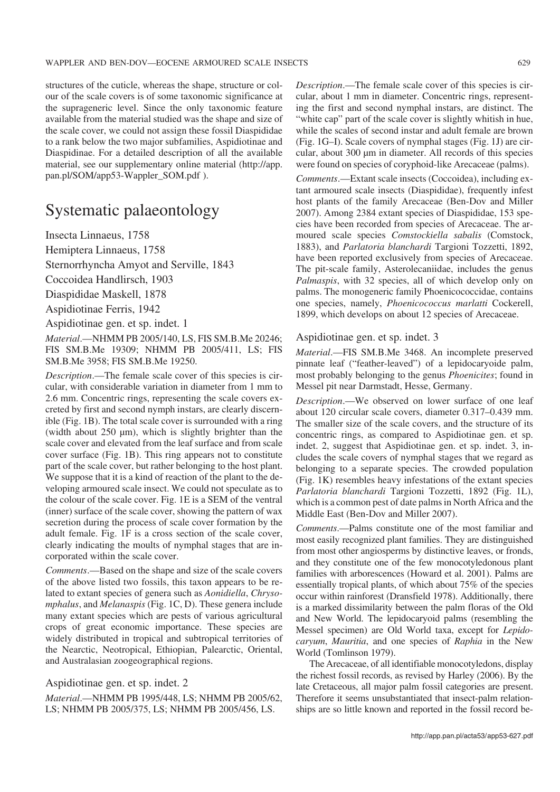structures of the cuticle, whereas the shape, structure or col− our of the scale covers is of some taxonomic significance at the suprageneric level. Since the only taxonomic feature available from the material studied was the shape and size of the scale cover, we could not assign these fossil Diaspididae to a rank below the two major subfamilies, Aspidiotinae and Diaspidinae. For a detailed description of all the available material, see our supplementary online material (http://app. pan.pl/SOM/app53-Wappler\_SOM.pdf ).

### Systematic palaeontology

Insecta Linnaeus, 1758

Hemiptera Linnaeus, 1758 Sternorrhyncha Amyot and Serville, 1843 Coccoidea Handlirsch, 1903 Diaspididae Maskell, 1878 Aspidiotinae Ferris, 1942

Aspidiotinae gen. et sp. indet. 1

*Material*.—NHMM PB 2005/140, LS, FIS SM.B.Me 20246; FIS SM.B.Me 19309; NHMM PB 2005/411, LS; FIS SM.B.Me 3958; FIS SM.B.Me 19250.

*Description*.—The female scale cover of this species is circular, with considerable variation in diameter from 1 mm to 2.6 mm. Concentric rings, representing the scale covers ex− creted by first and second nymph instars, are clearly discern− ible (Fig. 1B). The total scale cover is surrounded with a ring (width about 250 μm), which is slightly brighter than the scale cover and elevated from the leaf surface and from scale cover surface (Fig. 1B). This ring appears not to constitute part of the scale cover, but rather belonging to the host plant. We suppose that it is a kind of reaction of the plant to the de− veloping armoured scale insect. We could not speculate as to the colour of the scale cover. Fig. 1E is a SEM of the ventral (inner) surface of the scale cover, showing the pattern of wax secretion during the process of scale cover formation by the adult female. Fig. 1F is a cross section of the scale cover, clearly indicating the moults of nymphal stages that are in− corporated within the scale cover.

*Comments*.—Based on the shape and size of the scale covers of the above listed two fossils, this taxon appears to be re− lated to extant species of genera such as *Aonidiella*, *Chryso− mphalus*, and *Melanaspis* (Fig. 1C, D). These genera include many extant species which are pests of various agricultural crops of great economic importance. These species are widely distributed in tropical and subtropical territories of the Nearctic, Neotropical, Ethiopian, Palearctic, Oriental, and Australasian zoogeographical regions.

#### Aspidiotinae gen. et sp. indet. 2

*Material*.—NHMM PB 1995/448, LS; NHMM PB 2005/62, LS; NHMM PB 2005/375, LS; NHMM PB 2005/456, LS.

*Description*.—The female scale cover of this species is circular, about 1 mm in diameter. Concentric rings, represent− ing the first and second nymphal instars, are distinct. The "white cap" part of the scale cover is slightly whitish in hue, while the scales of second instar and adult female are brown (Fig. 1G–I). Scale covers of nymphal stages (Fig. 1J) are cir− cular, about 300 μm in diameter. All records of this species were found on species of coryphoid−like Arecaceae (palms).

*Comments*.—Extant scale insects (Coccoidea), including ex− tant armoured scale insects (Diaspididae), frequently infest host plants of the family Arecaceae (Ben−Dov and Miller 2007). Among 2384 extant species of Diaspididae, 153 spe− cies have been recorded from species of Arecaceae. The ar− moured scale species *Comstockiella sabalis* (Comstock, 1883), and *Parlatoria blanchardi* Targioni Tozzetti, 1892, have been reported exclusively from species of Arecaceae. The pit−scale family, Asterolecaniidae, includes the genus *Palmaspis*, with 32 species, all of which develop only on palms. The monogeneric family Phoenicococcidae, contains one species, namely, *Phoenicococcus marlatti* Cockerell, 1899, which develops on about 12 species of Arecaceae.

#### Aspidiotinae gen. et sp. indet. 3

*Material*.—FIS SM.B.Me 3468. An incomplete preserved pinnate leaf ("feather−leaved") of a lepidocaryoide palm, most probably belonging to the genus *Phoenicites*; found in Messel pit near Darmstadt, Hesse, Germany.

*Description*.—We observed on lower surface of one leaf about 120 circular scale covers, diameter 0.317–0.439 mm. The smaller size of the scale covers, and the structure of its concentric rings, as compared to Aspidiotinae gen. et sp. indet. 2, suggest that Aspidiotinae gen. et sp. indet. 3, in− cludes the scale covers of nymphal stages that we regard as belonging to a separate species. The crowded population (Fig. 1K) resembles heavy infestations of the extant species *Parlatoria blanchardi* Targioni Tozzetti, 1892 (Fig. 1L), which is a common pest of date palms in North Africa and the Middle East (Ben−Dov and Miller 2007).

*Comments*.—Palms constitute one of the most familiar and most easily recognized plant families. They are distinguished from most other angiosperms by distinctive leaves, or fronds, and they constitute one of the few monocotyledonous plant families with arborescences (Howard et al. 2001). Palms are essentially tropical plants, of which about 75% of the species occur within rainforest (Dransfield 1978). Additionally, there is a marked dissimilarity between the palm floras of the Old and New World. The lepidocaryoid palms (resembling the Messel specimen) are Old World taxa, except for *Lepido− caryum*, *Mauritia*, and one species of *Raphia* in the New World (Tomlinson 1979).

The Arecaceae, of all identifiable monocotyledons, display the richest fossil records, as revised by Harley (2006). By the late Cretaceous, all major palm fossil categories are present. Therefore it seems unsubstantiated that insect−palm relation− ships are so little known and reported in the fossil record be−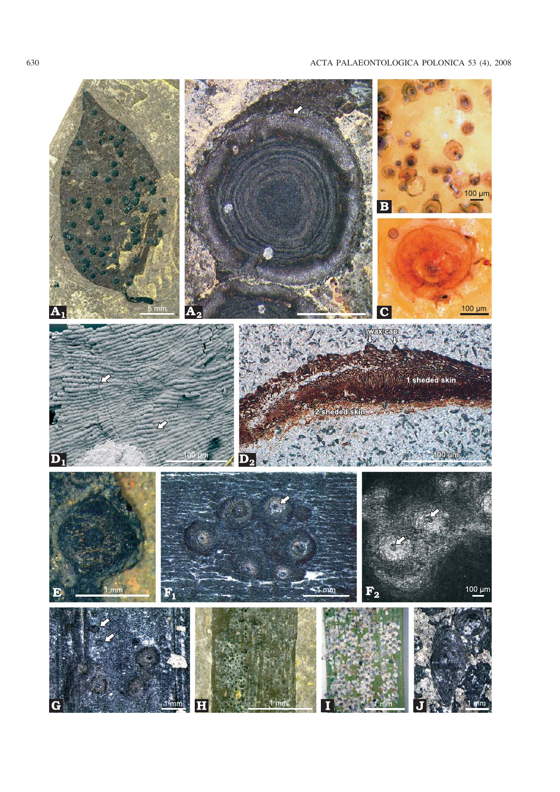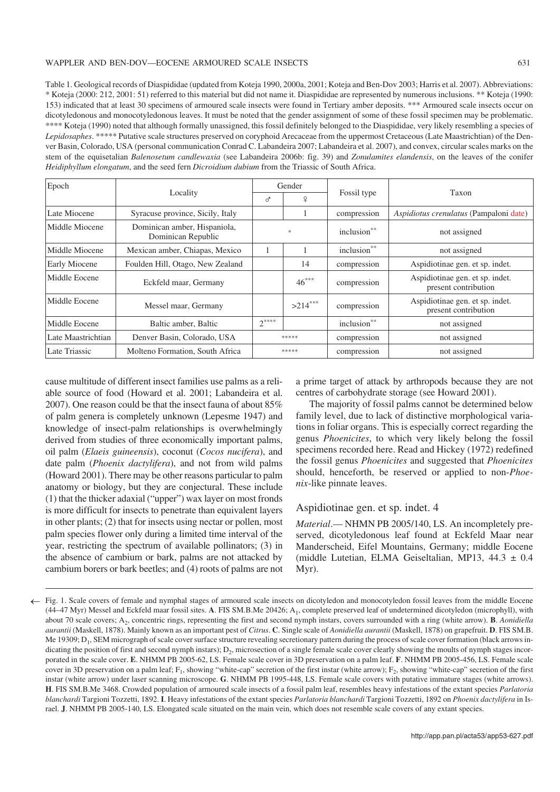#### WAPPLER AND BEN−DOV—EOCENE ARMOURED SCALE INSECTS 631

Table 1. Geological records of Diaspididae (updated from Koteja 1990, 2000a, 2001; Koteja and Ben−Dov 2003; Harris et al. 2007). Abbreviations: \* Koteja (2000: 212, 2001: 51) referred to this material but did not name it. Diaspididae are represented by numerous inclusions. \*\* Koteja (1990: 153) indicated that at least 30 specimens of armoured scale insects were found in Tertiary amber deposits. \*\*\* Armoured scale insects occur on dicotyledonous and monocotyledonous leaves. It must be noted that the gender assignment of some of these fossil specimen may be problematic. \*\*\*\* Koteja (1990) noted that although formally unassigned, this fossil definitely belonged to the Diaspididae, very likely resembling a species of *Lepidosaphes*. \*\*\*\*\* Putative scale structures preserved on coryphoid Arecaceae from the uppermost Cretaceous (Late Maastrichtian) of the Den− ver Basin, Colorado, USA (personal communication Conrad C. Labandeira 2007; Labandeira et al. 2007), and convex, circular scales marks on the stem of the equisetalian *Balenosetum candlewaxia* (see Labandeira 2006b: fig. 39) and *Zonulamites elandensis*, on the leaves of the conifer *Heidiphyllum elongatum*, and the seed fern *Dicroidium dubium* from the Triassic of South Africa.

| Epoch                | Locality                                           | Gender        |           |                         |                                                         |
|----------------------|----------------------------------------------------|---------------|-----------|-------------------------|---------------------------------------------------------|
|                      |                                                    | ൪             | ¥         | Fossil type             | Taxon                                                   |
| Late Miocene         | Syracuse province, Sicily, Italy                   |               |           | compression             | Aspidiotus crenulatus (Pampaloni date)                  |
| Middle Miocene       | Dominican amber, Hispaniola,<br>Dominican Republic | $\mathcal{L}$ |           | inclusion <sup>**</sup> | not assigned                                            |
| Middle Miocene       | Mexican amber, Chiapas, Mexico                     |               |           | inclusion**             | not assigned                                            |
| <b>Early Miocene</b> | Foulden Hill, Otago, New Zealand                   |               | 14        | compression             | Aspidiotinae gen. et sp. indet.                         |
| Middle Eocene        | Eckfeld maar, Germany                              |               | $46***$   | compression             | Aspidiotinae gen. et sp. indet.<br>present contribution |
| Middle Eocene        | Messel maar, Germany                               |               | $>214***$ | compression             | Aspidiotinae gen. et sp. indet.<br>present contribution |
| Middle Eocene        | Baltic amber, Baltic                               | $2^{***}$     |           | inclusion**             | not assigned                                            |
| Late Maastrichtian   | Denver Basin, Colorado, USA                        | *****         |           | compression             | not assigned                                            |
| Late Triassic        | Molteno Formation, South Africa                    | *****         |           | compression             | not assigned                                            |

cause multitude of different insect families use palms as a reli− able source of food (Howard et al. 2001; Labandeira et al. 2007). One reason could be that the insect fauna of about 85% of palm genera is completely unknown (Lepesme 1947) and knowledge of insect−palm relationships is overwhelmingly derived from studies of three economically important palms, oil palm (*Elaeis guineensis*), coconut (*Cocos nucifera*), and date palm (*Phoenix dactylifera*), and not from wild palms (Howard 2001). There may be other reasons particular to palm anatomy or biology, but they are conjectural. These include (1) that the thicker adaxial ("upper") wax layer on most fronds is more difficult for insects to penetrate than equivalent layers in other plants; (2) that for insects using nectar or pollen, most palm species flower only during a limited time interval of the year, restricting the spectrum of available pollinators; (3) in the absence of cambium or bark, palms are not attacked by cambium borers or bark beetles; and (4) roots of palms are not a prime target of attack by arthropods because they are not centres of carbohydrate storage (see Howard 2001).

The majority of fossil palms cannot be determined below family level, due to lack of distinctive morphological variations in foliar organs. This is especially correct regarding the genus *Phoenicites*, to which very likely belong the fossil specimens recorded here. Read and Hickey (1972) redefined the fossil genus *Phoenicites* and suggested that *Phoenicites* should, henceforth, be reserved or applied to non−*Phoe− nix*−like pinnate leaves.

#### Aspidiotinae gen. et sp. indet. 4

*Material*.— NHMN PB 2005/140, LS. An incompletely pre− served, dicotyledonous leaf found at Eckfeld Maar near Manderscheid, Eifel Mountains, Germany; middle Eocene (middle Lutetian, ELMA Geiseltalian, MP13, 44.3 ± 0.4 Myr).

Fig. 1. Scale covers of female and nymphal stages of armoured scale insects on dicotyledon and monocotyledon fossil leaves from the middle Eocene - (44–47 Myr) Messel and Eckfeld maar fossil sites. **A**. FIS SM.B.Me 20426; A1, complete preserved leaf of undetermined dicotyledon (microphyll), with about 70 scale covers; A2, concentric rings, representing the first and second nymph instars, covers surrounded with a ring (white arrow). **B**. *Aonidiella aurantii* (Maskell, 1878). Mainly known as an important pest of *Citrus*. **C**. Single scale of *Aonidiella aurantii* (Maskell, 1878) on grapefruit. **D**. FIS SM.B. Me 19309; D<sub>1</sub>, SEM micrograph of scale cover surface structure revealing secretionary pattern during the process of scale cover formation (black arrows indicating the position of first and second nymph instars); D<sub>2</sub>, microsection of a single female scale cover clearly showing the moults of nymph stages incorporated in the scale cover. **E**. NHMM PB 2005−62, LS. Female scale cover in 3D preservation on a palm leaf. **F**. NHMM PB 2005−456, LS. Female scale cover in 3D preservation on a palm leaf; F<sub>1</sub>, showing "white-cap" secretion of the first instar (white arrow); F<sub>2</sub>, showing "white-cap" secretion of the first instar (white arrow) under laser scanning microscope. **G**. NHMM PB 1995−448, LS. Female scale covers with putative immature stages (white arrows). **H**. FIS SM.B.Me 3468. Crowded population of armoured scale insects of a fossil palm leaf, resembles heavy infestations of the extant species *Parlatoria blanchardi* Targioni Tozzetti, 1892. **I**. Heavy infestations of the extant species *Parlatoria blanchardi* Targioni Tozzetti, 1892 on *Phoenix dactylifera* in Is− rael. **J**. NHMM PB 2005−140, LS. Elongated scale situated on the main vein, which does not resemble scale covers of any extant species.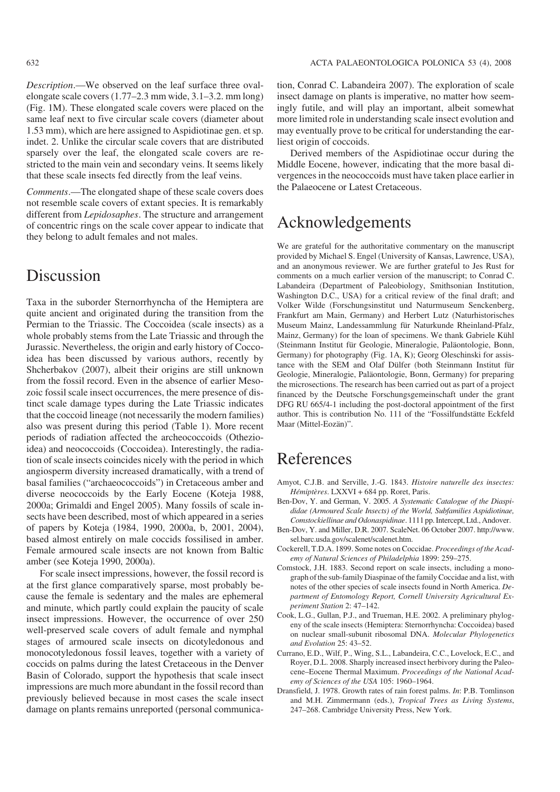elongate scale covers (1.77–2.3 mm wide, 3.1–3.2. mm long) (Fig. 1M). These elongated scale covers were placed on the same leaf next to five circular scale covers (diameter about 1.53 mm), which are here assigned to Aspidiotinae gen. et sp. indet. 2. Unlike the circular scale covers that are distributed sparsely over the leaf, the elongated scale covers are re− stricted to the main vein and secondary veins. It seems likely that these scale insects fed directly from the leaf veins.

*Comments*.—The elongated shape of these scale covers does not resemble scale covers of extant species. It is remarkably different from *Lepidosaphes*. The structure and arrangement of concentric rings on the scale cover appear to indicate that they belong to adult females and not males.

### Discussion

Taxa in the suborder Sternorrhyncha of the Hemiptera are quite ancient and originated during the transition from the Permian to the Triassic. The Coccoidea (scale insects) as a whole probably stems from the Late Triassic and through the Jurassic. Nevertheless, the origin and early history of Cocco− idea has been discussed by various authors, recently by Shcherbakov (2007), albeit their origins are still unknown from the fossil record. Even in the absence of earlier Meso− zoic fossil scale insect occurrences, the mere presence of dis− tinct scale damage types during the Late Triassic indicates that the coccoid lineage (not necessarily the modern families) also was present during this period (Table 1). More recent periods of radiation affected the archeococcoids (Othezio− idea) and neococcoids (Coccoidea). Interestingly, the radia− tion of scale insects coincides nicely with the period in which angiosperm diversity increased dramatically, with a trend of basal families ("archaeococcoids") in Cretaceous amber and diverse neococcoids by the Early Eocene (Koteja 1988, 2000a; Grimaldi and Engel 2005). Many fossils of scale in− sects have been described, most of which appeared in a series of papers by Koteja (1984, 1990, 2000a, b, 2001, 2004), based almost entirely on male coccids fossilised in amber. Female armoured scale insects are not known from Baltic amber (see Koteja 1990, 2000a).

For scale insect impressions, however, the fossil record is at the first glance comparatively sparse, most probably be− cause the female is sedentary and the males are ephemeral and minute, which partly could explain the paucity of scale insect impressions. However, the occurrence of over 250 well−preserved scale covers of adult female and nymphal stages of armoured scale insects on dicotyledonous and monocotyledonous fossil leaves, together with a variety of coccids on palms during the latest Cretaceous in the Denver Basin of Colorado, support the hypothesis that scale insect impressions are much more abundant in the fossil record than previously believed because in most cases the scale insect damage on plants remains unreported (personal communica−

tion, Conrad C. Labandeira 2007). The exploration of scale insect damage on plants is imperative, no matter how seem− ingly futile, and will play an important, albeit somewhat more limited role in understanding scale insect evolution and may eventually prove to be critical for understanding the ear− liest origin of coccoids.

Derived members of the Aspidiotinae occur during the Middle Eocene, however, indicating that the more basal di− vergences in the neococcoids must have taken place earlier in the Palaeocene or Latest Cretaceous.

## Acknowledgements

We are grateful for the authoritative commentary on the manuscript provided by Michael S. Engel (University of Kansas, Lawrence, USA), and an anonymous reviewer. We are further grateful to Jes Rust for comments on a much earlier version of the manuscript; to Conrad C. Labandeira (Department of Paleobiology, Smithsonian Institution, Washington D.C., USA) for a critical review of the final draft; and Volker Wilde (Forschungsinstitut und Naturmuseum Senckenberg, Frankfurt am Main, Germany) and Herbert Lutz (Naturhistorisches Museum Mainz, Landessammlung für Naturkunde Rheinland−Pfalz, Mainz, Germany) for the loan of specimens. We thank Gabriele Kühl (Steinmann Institut für Geologie, Mineralogie, Paläontologie, Bonn, Germany) for photography (Fig. 1A, K); Georg Oleschinski for assistance with the SEM and Olaf Dülfer (both Steinmann Institut für Geologie, Mineralogie, Paläontologie, Bonn, Germany) for preparing the microsections. The research has been carried out as part of a project financed by the Deutsche Forschungsgemeinschaft under the grant DFG RU 665/4−1 including the post−doctoral appointment of the first author. This is contribution No. 111 of the "Fossilfundstätte Eckfeld Maar (Mittel−Eozän)".

### References

- Amyot, C.J.B. and Serville, J.−G. 1843. *Histoire naturelle des insectes: Hémiptères*. LXXVI + 684 pp. Roret, Paris.
- Ben−Dov, Y. and German, V. 2005. *A Systematic Catalogue of the Diaspi− didae (Armoured Scale Insects) of the World, Subfamilies Aspidiotinae, Comstockiellinae and Odonaspidinae*. 1111 pp. Intercept, Ltd., Andover.
- Ben−Dov, Y. and Miller, D.R. 2007. ScaleNet. 06 October 2007. http://www. sel.barc.usda.gov/scalenet/scalenet.htm.
- Cockerell, T.D.A. 1899. Some notes on Coccidae. *Proceedings of the Acad− emy of Natural Sciences of Philadelphia* 1899: 259–275.
- Comstock, J.H. 1883. Second report on scale insects, including a mono− graph of the sub−family Diaspinae of the family Coccidae and a list, with notes of the other species of scale insects found in North America. *De− partment of Entomology Report, Cornell University Agricultural Ex− periment Station* 2: 47–142.
- Cook, L.G., Gullan, P.J., and Trueman, H.E. 2002. A preliminary phylog− eny of the scale insects (Hemiptera: Sternorrhyncha: Coccoidea) based on nuclear small−subunit ribosomal DNA. *Molecular Phylogenetics and Evolution* 25: 43–52.
- Currano, E.D., Wilf, P., Wing, S.L., Labandeira, C.C., Lovelock, E.C., and Royer, D.L. 2008. Sharply increased insect herbivory during the Paleo− cene–Eocene Thermal Maximum. *Proceedings of the National Acad− emy of Sciences of the USA* 105: 1960–1964.
- Dransfield, J. 1978. Growth rates of rain forest palms. *In*: P.B. Tomlinson and M.H. Zimmermann (eds.), *Tropical Trees as Living Systems*, 247–268. Cambridge University Press, New York.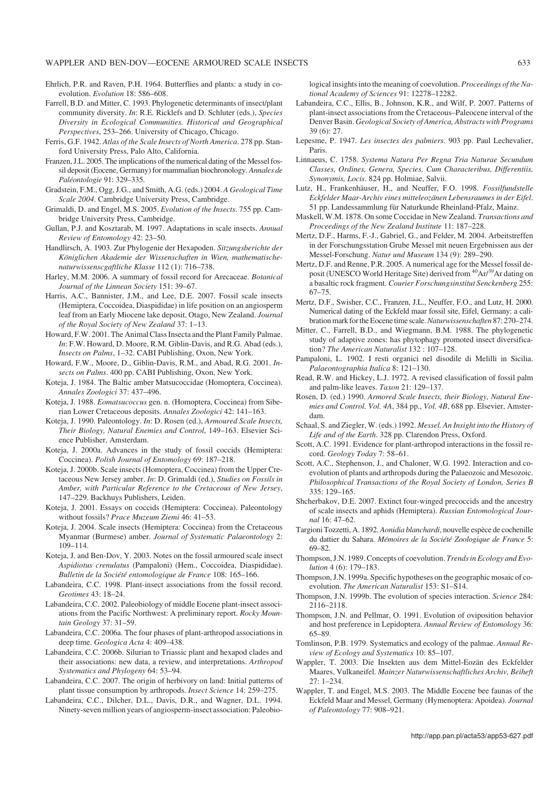- Ehrlich, P.R. and Raven, P.H. 1964. Butterflies and plants: a study in co− evolution. *Evolution* 18: 586–608.
- Farrell, B.D. and Mitter, C. 1993. Phylogenetic determinants of insect/plant community diversity. *In*: R.E. Ricklefs and D. Schluter (eds.), *Species Diversity in Ecological Communities. Historical and Geographical Perspectives*, 253–266. University of Chicago, Chicago.
- Ferris, G.F. 1942. *Atlas of the Scale Insects of North America*. 278 pp. Stan− ford University Press, Palo Alto, California.
- Franzen, J.L. 2005. The implications of the numerical dating of the Messel fos− sil deposit (Eocene, Germany) for mammalian biochronology. *Annales de Paléontologie* 91: 329–335.
- Gradstein, F.M., Ogg, J.G., and Smith, A.G. (eds.) 2004. *A Geological Time Scale 2004*. Cambridge University Press, Cambridge.
- Grimaldi, D. and Engel, M.S. 2005. *Evolution of the Insects*. 755 pp. Cam− bridge University Press, Cambridge.
- Gullan, P.J. and Kosztarab, M. 1997. Adaptations in scale insects. *Annual Review of Entomology* 42: 23–50.
- Handlirsch, A. 1903. Zur Phylogenie der Hexapoden. *Sitzungsberichte der Königlichen Akademie der Wissenschaften in Wien, mathematische− naturwissenscgaftliche Klasse* 112 (1): 716–738.
- Harley, M.M. 2006. A summary of fossil record for Arecaceae. *Botanical Journal of the Linnean Society* 151: 39–67.
- Harris, A.C., Bannister, J.M., and Lee, D.E. 2007. Fossil scale insects (Hemiptera, Coccoidea, Diaspididae) in life position on an angiosperm leaf from an Early Miocene lake deposit, Otago, New Zealand. *Journal of the Royal Society of New Zealand* 37: 1–13.
- Howard, F.W. 2001. The Animal Class Insecta and the Plant Family Palmae. *In*: F.W. Howard, D. Moore, R.M. Giblin−Davis, and R.G. Abad (eds.), *Insects on Palms*, 1–32. CABI Publishing, Oxon, New York.
- Howard, F.W., Moore, D., Giblin−Davis, R.M., and Abad, R.G. 2001. *In− sects on Palms*. 400 pp. CABI Publishing, Oxon, New York.
- Koteja, J. 1984. The Baltic amber Matsucoccidae (Homoptera, Coccinea). *Annales Zoologici* 37: 437–496.
- Koteja, J. 1988. *Eomatsucoccus* gen. n. (Homoptera, Coccinea) from Sibe− rian Lower Cretaceous deposits. *Annales Zoologici* 42: 141–163.
- Koteja, J. 1990. Paleontology. *In*: D. Rosen (ed.), *Armoured Scale Insects, Their Biology, Natural Enemies and Control*, 149–163. Elsevier Sci− ence Publisher, Amsterdam.
- Koteja, J. 2000a. Advances in the study of fossil coccids (Hemiptera: Coccinea). *Polish Journal of Entomology* 69: 187–218.
- Koteja, J. 2000b. Scale insects (Homoptera, Coccinea) from the Upper Cre− taceous New Jersey amber. *In*: D. Grimaldi (ed.), *Studies on Fossils in Amber, with Particular Reference to the Cretaceous of New Jersey*, 147–229. Backhuys Publishers, Leiden.
- Koteja, J. 2001. Essays on coccids (Hemiptera: Coccinea). Paleontology without fossils? *Prace Muzeum Ziemi* 46: 41–53.
- Koteja, J. 2004. Scale insects (Hemiptera: Coccinea) from the Cretaceous Myanmar (Burmese) amber. *Journal of Systematic Palaeontology* 2: 109–114.
- Koteja, J. and Ben−Dov, Y. 2003. Notes on the fossil armoured scale insect *Aspidiotus crenulatus* (Pampaloni) (Hem., Coccoidea, Diaspididae). *Bulletin de la Société entomologique de France* 108: 165–166.
- Labandeira, C.C. 1998. Plant−insect associations from the fossil record. *Geotimes* 43: 18–24.
- Labandeira, C.C. 2002. Paleobiology of middle Eocene plant−insect associ− ations from the Pacific Northwest: A preliminary report. *Rocky Moun− tain Geology* 37: 31–59.
- Labandeira, C.C. 2006a. The four phases of plant−arthropod associations in deep time. *Geologica Acta* 4: 409–438.
- Labandeira, C.C. 2006b. Silurian to Triassic plant and hexapod clades and their associations: new data, a review, and interpretations. *Arthropod Systematics and Phylogeny* 64: 53–94.
- Labandeira, C.C. 2007. The origin of herbivory on land: Initial patterns of plant tissue consumption by arthropods. *Insect Science* 14: 259–275.
- Labandeira, C.C., Dilcher, D.L., Davis, D.R., and Wagner, D.L. 1994. Ninety−seven million years of angiosperm−insect association: Paleobio−

logical insights into the meaning of coevolution. *Proceedings of the Na− tional Academy of Sciences* 91: 12278–12282.

- Labandeira, C.C., Ellis, B., Johnson, K.R., and Wilf, P. 2007. Patterns of plant−insect associations from the Cretaceous–Paleocene interval of the Denver Basin. *Geological Society of America, Abstracts with Programs* 39 (6): 27.
- Lepesme, P. 1947. *Les insectes des palmiers*. 903 pp. Paul Lechevalier, Paris.
- Linnaeus, C. 1758. *Systema Natura Per Regna Tria Naturae Secundum Classes, Ordines, Genera, Species, Cum Characteribus, Differentiis, Synonymis, Locis*. 824 pp. Holmiae, Salvii.
- Lutz, H., Frankenhäuser, H., and Neuffer, F.O. 1998. *Fossilfundstelle Eckfelder Maar−Archiv eines mitteleozänen Lebensraumes in der Eifel*. 51 pp. Landessammlung für Naturkunde Rheinland−Pfalz, Mainz.
- Maskell, W.M. 1878. On some Coccidae in New Zealand. *Transactions and Proceedings of the New Zealand Institute* 11: 187–228.
- Mertz, D.F., Harms, F.−J., Gabriel, G., and Felder, M. 2004. Arbeitstreffen in der Forschungsstation Grube Messel mit neuen Ergebnissen aus der Messel−Forschung. *Natur und Museum* 134 (9): 289–290.
- Mertz, D.F. and Renne, P.R. 2005. A numerical age for the Messel fossil de− posit (UNESCO World Heritage Site) derived from <sup>40</sup>Ar/<sup>39</sup>Ar dating on a basaltic rock fragment. *Courier Forschungsinstitut Senckenberg* 255: 67–75.
- Mertz, D.F., Swisher, C.C., Franzen, J.L., Neuffer, F.O., and Lutz, H. 2000. Numerical dating of the Eckfeld maar fossil site, Eifel, Germany: a cali− bration mark for the Eocene time scale.*Naturwissenschaften* 87: 270–274.
- Mitter, C., Farrell, B.D., and Wiegmann, B.M. 1988. The phylogenetic study of adaptive zones: has phytophagy promoted insect diversifica− tion? *The American Naturalist* 132 : 107–128.
- Pampaloni, L. 1902. I resti organici nel disodile di Melilli in Sicilia. *Palaeontographia Italica* 8: 121–130.
- Read, R.W. and Hickey, L.J. 1972. A revised classification of fossil palm and palm−like leaves. *Taxon* 21: 129–137.
- Rosen, D. (ed.) 1990. *Armored Scale Insects, their Biology, Natural Ene− mies and Control. Vol. 4A*, 384 pp., *Vol. 4B*, 688 pp. Elsevier, Amster− dam.
- Schaal, S. and Ziegler, W. (eds.) 1992. *Messel. An Insight into the History of Life and of the Earth*. 328 pp. Clarendon Press, Oxford.
- Scott, A.C. 1991. Evidence for plant−arthropod interactions in the fossil re− cord. *Geology Today* 7: 58–61.
- Scott, A.C., Stephenson, J., and Chaloner, W.G. 1992. Interaction and co− evolution of plants and arthropods during the Palaeozoic and Mesozoic. *Philosophical Transactions of the Royal Society of London, Series B* 335: 129–165.
- Shcherbakov, D.E. 2007. Extinct four−winged precoccids and the ancestry of scale insects and aphids (Hemiptera). *Russian Entomological Jour− nal* 16: 47–62.
- Targioni Tozzetti, A. 1892. *Aonidia blanchardi*, nouvelle espèce de cochenille du dattier du Sahara. *Mémoires de la Société Zoologique de France* 5: 69–82.
- Thompson, J.N. 1989. Concepts of coevolution. *Trends in Ecology and Evo− lution* 4 (6): 179–183.
- Thompson, J.N. 1999a. Specific hypotheses on the geographic mosaic of co− evolution. *The American Naturalist* 153: S1–S14.
- Thompson, J.N. 1999b. The evolution of species interaction. *Science* 284: 2116–2118.
- Thompson, J.N. and Pellmar, O. 1991. Evolution of oviposition behavior and host preference in Lepidoptera. *Annual Review of Entomology* 36: 65–89.
- Tomlinson, P.B. 1979. Systematics and ecology of the palmae. *Annual Re− view of Ecology and Systematics* 10: 85–107.
- Wappler, T. 2003. Die Insekten aus dem Mittel−Eozän des Eckfelder Maares, Vulkaneifel. *Mainzer Naturwissenschaftliches Archiv, Beiheft* 27: 1–234.
- Wappler, T. and Engel, M.S. 2003. The Middle Eocene bee faunas of the Eckfeld Maar and Messel, Germany (Hymenoptera: Apoidea). *Journal of Paleontology* 77: 908–921.